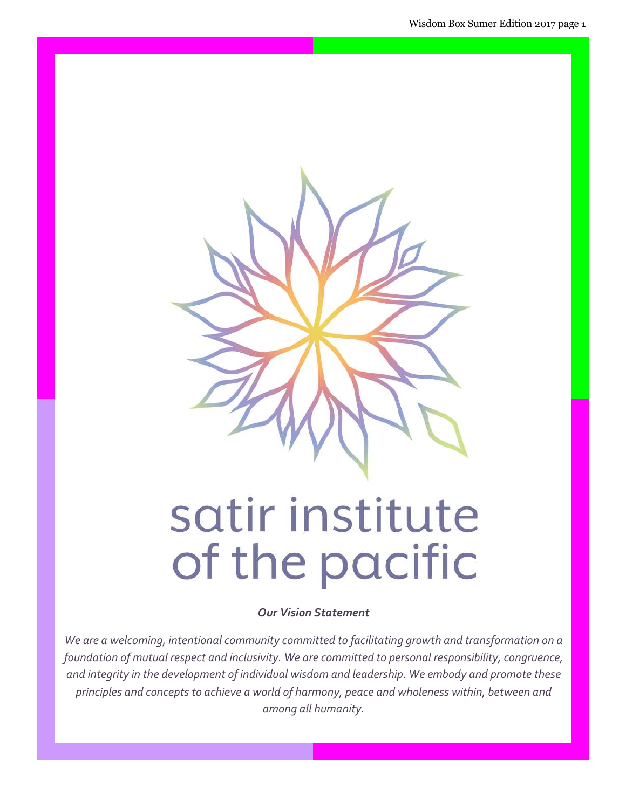

# satir institute of the pacific

Our Vision Statement

We are a welcoming, intentional community committed to facilitating growth and transformation on a foundation of mutual respect and inclusivity. We are committed to personal responsibility, congruence, and integrity in the development of individual wisdom and leadership. We embody and promote these principles and concepts to achieve a world of harmony, peace and wholeness within, between and among all humanity.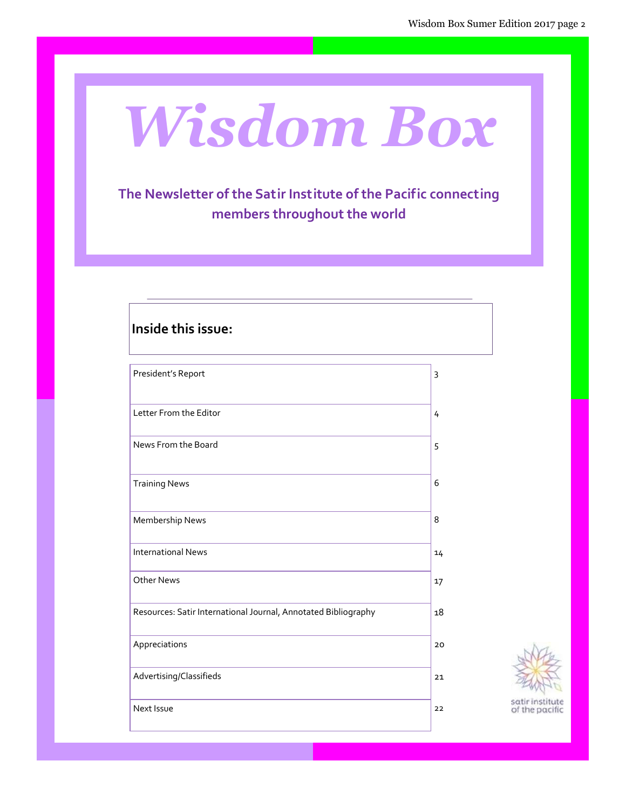# Wisdom Box

### The Newsletter of the Satir Institute of the Pacific connecting members throughout the world

| Inside this issue:                                             |    |
|----------------------------------------------------------------|----|
| President's Report                                             | 3  |
| Letter From the Editor                                         | 4  |
| News From the Board                                            | 5  |
| <b>Training News</b>                                           | 6  |
| Membership News                                                | 8  |
| <b>International News</b>                                      | 14 |
| Other News                                                     | 17 |
| Resources: Satir International Journal, Annotated Bibliography | 18 |
| Appreciations                                                  | 20 |
| Advertising/Classifieds                                        | 21 |
| Next Issue                                                     | 22 |

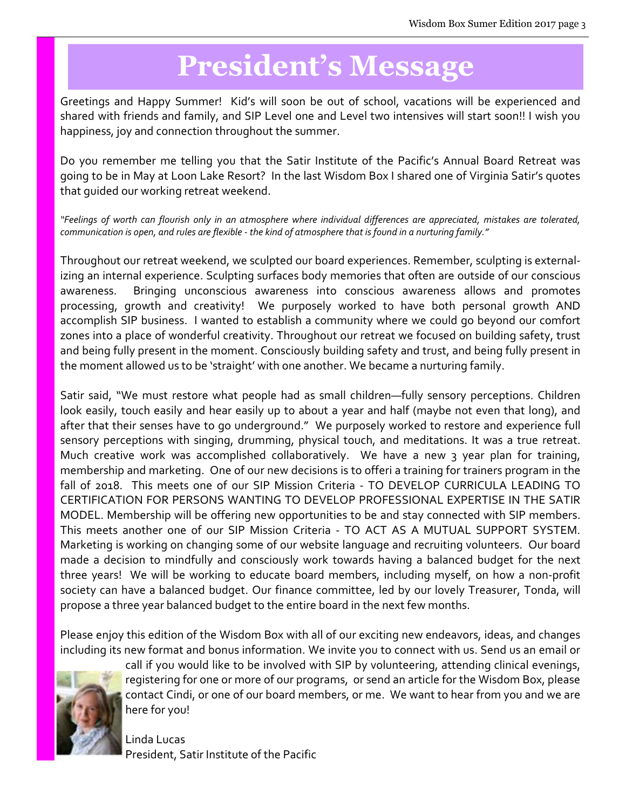# President's Message

Greetings and Happy Summer! Kid's will soon be out of school, vacations will be experienced and shared with friends and family, and SIP Level one and Level two intensives will start soon!! I wish you happiness, joy and connection throughout the summer.

Do you remember me telling you that the Satir Institute of the Pacific's Annual Board Retreat was going to be in May at Loon Lake Resort? In the last Wisdom Box I shared one of Virginia Satir's quotes that guided our working retreat weekend.

"Feelings of worth can flourish only in an atmosphere where individual differences are appreciated, mistakes are tolerated, communication is open, and rules are flexible - the kind of atmosphere that is found in a nurturing family."

Throughout our retreat weekend, we sculpted our board experiences. Remember, sculpting is externalizing an internal experience. Sculpting surfaces body memories that often are outside of our conscious awareness. Bringing unconscious awareness into conscious awareness allows and promotes processing, growth and creativity! We purposely worked to have both personal growth AND accomplish SIP business. I wanted to establish a community where we could go beyond our comfort zones into a place of wonderful creativity. Throughout our retreat we focused on building safety, trust and being fully present in the moment. Consciously building safety and trust, and being fully present in the moment allowed us to be 'straight' with one another. We became a nurturing family.

Satir said, "We must restore what people had as small children—fully sensory perceptions. Children look easily, touch easily and hear easily up to about a year and half (maybe not even that long), and after that their senses have to go underground." We purposely worked to restore and experience full sensory perceptions with singing, drumming, physical touch, and meditations. It was a true retreat. Much creative work was accomplished collaboratively. We have a new 3 year plan for training, membership and marketing. One of our new decisions is to offeri a training for trainers program in the fall of 2018. This meets one of our SIP Mission Criteria - TO DEVELOP CURRICULA LEADING TO CERTIFICATION FOR PERSONS WANTING TO DEVELOP PROFESSIONAL EXPERTISE IN THE SATIR MODEL. Membership will be offering new opportunities to be and stay connected with SIP members. This meets another one of our SIP Mission Criteria - TO ACT AS A MUTUAL SUPPORT SYSTEM. Marketing is working on changing some of our website language and recruiting volunteers. Our board made a decision to mindfully and consciously work towards having a balanced budget for the next three years! We will be working to educate board members, including myself, on how a non-profit society can have a balanced budget. Our finance committee, led by our lovely Treasurer, Tonda, will propose a three year balanced budget to the entire board in the next few months.

Please enjoy this edition of the Wisdom Box with all of our exciting new endeavors, ideas, and changes including its new format and bonus information. We invite you to connect with us. Send us an email or



call if you would like to be involved with SIP by volunteering, attending clinical evenings, registering for one or more of our programs, or send an article for the Wisdom Box, please contact Cindi, or one of our board members, or me. We want to hear from you and we are here for you!

Linda Lucas President, Satir Institute of the Pacific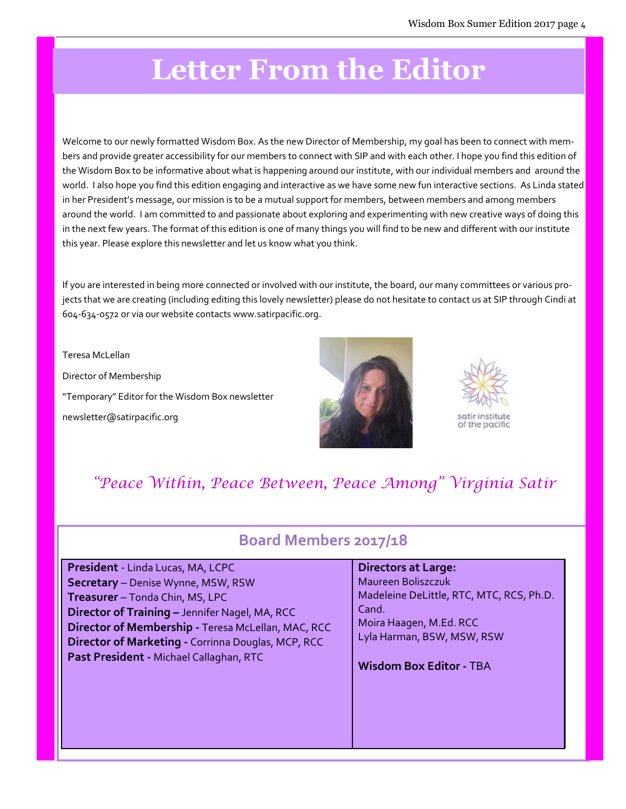# Letter From the Editor

Welcome to our newly formatted Wisdom Box. As the new Director of Membership, my goal has been to connect with members and provide greater accessibility for our members to connect with SIP and with each other. I hope you find this edition of the Wisdom Box to be informative about what is happening around our institute, with our individual members and around the world. I also hope you find this edition engaging and interactive as we have some new fun interactive sections. As Linda stated in her President's message, our mission is to be a mutual support for members, between members and among members around the world. I am committed to and passionate about exploring and experimenting with new creative ways of doing this in the next few years. The format of this edition is one of many things you will find to be new and different with our institute this year. Please explore this newsletter and let us know what you think.

If you are interested in being more connected or involved with our institute, the board, our many committees or various projects that we are creating (including editing this lovely newsletter) please do not hesitate to contact us at SIP through Cindi at 604-634-0572 or via our website contacts www.satirpacific.org.

Teresa McLellan Director of Membership "Temporary" Editor for the Wisdom Box newsletter newsletter@satirpacific.org





### "Peace Within, Peace Between, Peace Among" Virginia Satir

### Board Members 2017/18

| President - Linda Lucas, MA, LCPC                  | <b>Directors at Large:</b>               |
|----------------------------------------------------|------------------------------------------|
| Secretary - Denise Wynne, MSW, RSW                 | Maureen Boliszczuk                       |
| Treasurer - Tonda Chin, MS, LPC                    | Madeleine DeLittle, RTC, MTC, RCS, Ph.D. |
| Director of Training - Jennifer Nagel, MA, RCC     | Cand.                                    |
| Director of Membership - Teresa McLellan, MAC, RCC | Moira Haagen, M.Ed. RCC                  |
| Director of Marketing - Corrinna Douglas, MCP, RCC | Lyla Harman, BSW, MSW, RSW               |
| Past President - Michael Callaghan, RTC            | <b>Wisdom Box Editor - TBA</b>           |
|                                                    |                                          |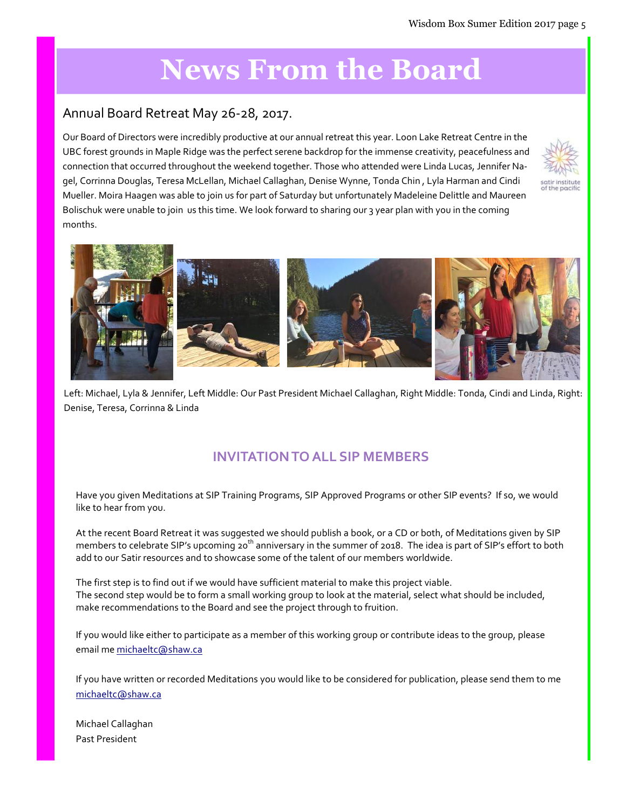# News From the Board

#### Annual Board Retreat May 26-28, 2017.

Our Board of Directors were incredibly productive at our annual retreat this year. Loon Lake Retreat Centre in the UBC forest grounds in Maple Ridge was the perfect serene backdrop for the immense creativity, peacefulness and connection that occurred throughout the weekend together. Those who attended were Linda Lucas, Jennifer Nagel, Corrinna Douglas, Teresa McLellan, Michael Callaghan, Denise Wynne, Tonda Chin , Lyla Harman and Cindi Mueller. Moira Haagen was able to join us for part of Saturday but unfortunately Madeleine Delittle and Maureen Bolischuk were unable to join us this time. We look forward to sharing our 3 year plan with you in the coming months.





Left: Michael, Lyla & Jennifer, Left Middle: Our Past President Michael Callaghan, Right Middle: Tonda, Cindi and Linda, Right: Denise, Teresa, Corrinna & Linda

#### INVITATION TO ALL SIP MEMBERS

Have you given Meditations at SIP Training Programs, SIP Approved Programs or other SIP events? If so, we would like to hear from you.

At the recent Board Retreat it was suggested we should publish a book, or a CD or both, of Meditations given by SIP members to celebrate SIP's upcoming 20<sup>th</sup> anniversary in the summer of 2018. The idea is part of SIP's effort to both add to our Satir resources and to showcase some of the talent of our members worldwide.

The first step is to find out if we would have sufficient material to make this project viable. The second step would be to form a small working group to look at the material, select what should be included, make recommendations to the Board and see the project through to fruition.

If you would like either to participate as a member of this working group or contribute ideas to the group, please email me michaeltc@shaw.ca

If you have written or recorded Meditations you would like to be considered for publication, please send them to me michaeltc@shaw.ca

Michael Callaghan Past President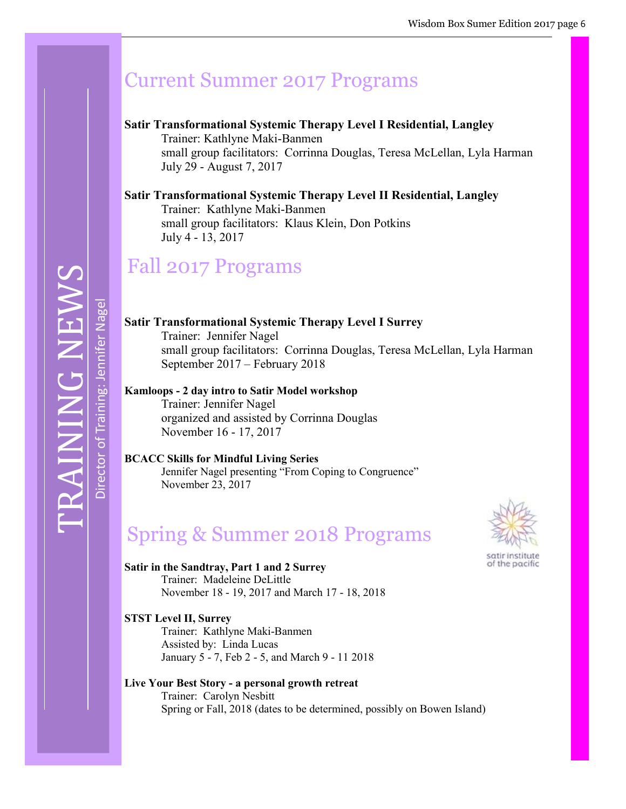# Current Summer 2017 Programs

#### Satir Transformational Systemic Therapy Level I Residential, Langley

resa McI ellan, I vla Harman small group facilitators: Corrinna Douglas, Teresa McLellan, Lyla Harman<br>July 20 - August 7, 2017 Trainer: Kathlyne Maki-Banmen July 29 - August 7, 2017

#### $\mathbf{D}$   $\mathbf{D}$   $\mathbf{D}$   $\mathbf{D}$   $\mathbf{D}$   $\mathbf{D}$   $\mathbf{D}$   $\mathbf{D}$   $\mathbf{D}$   $\mathbf{D}$ Satir Transformational Systemic Therapy Level II Residential, Langley Trainer: Kathlyne Maki-Banmen small group facilitators: Klaus Klein, Don Potkins July 4 - 13, 2017

# Fall 2017 Programs

TRAINING NEWS Director of Training: Jennifer Nagel Director of Training: Jennifer Nagel

Satir Transformational Systemic Therapy Level I Surrey Trainer: Jennifer Nagel small group facilitators: Corrinna Douglas, Teresa McLellan, Lyla Harman September 2017 – February 2018

Kamloops - 2 day intro to Satir Model workshop Trainer: Jennifer Nagel organized and assisted by Corrinna Douglas November 16 - 17, 2017

BCACC Skills for Mindful Living Series Jennifer Nagel presenting "From Coping to Congruence" November 23, 2017

# Spring & Summer 2018 Programs



of the pacific

Satir in the Sandtray, Part 1 and 2 Surrey Trainer: Madeleine DeLittle November 18 - 19, 2017 and March 17 - 18, 2018

STST Level II, Surrey Trainer: Kathlyne Maki-Banmen Assisted by: Linda Lucas January 5 - 7, Feb 2 - 5, and March 9 - 11 2018

#### Live Your Best Story - a personal growth retreat Trainer: Carolyn Nesbitt Spring or Fall, 2018 (dates to be determined, possibly on Bowen Island)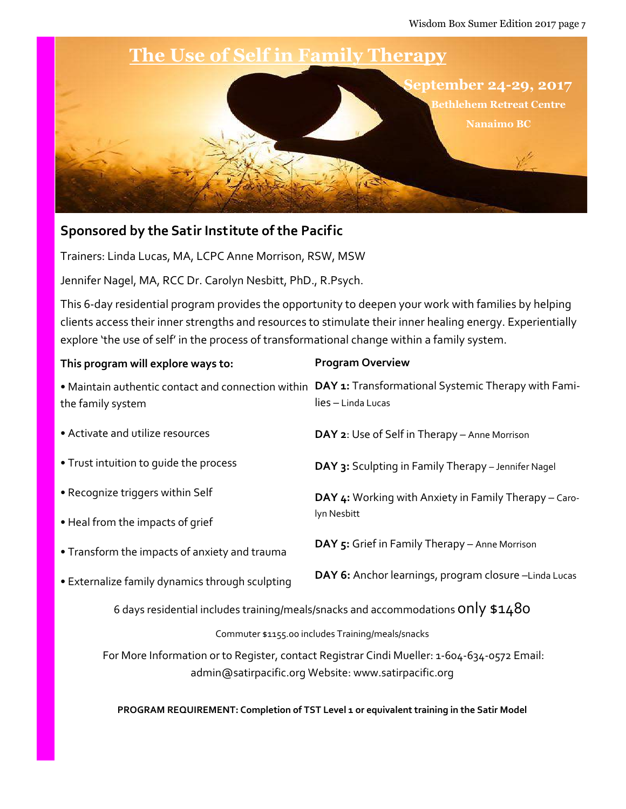

#### Sponsored by the Satir Institute of the Pacific

Trainers: Linda Lucas, MA, LCPC Anne Morrison, RSW, MSW

Jennifer Nagel, MA, RCC Dr. Carolyn Nesbitt, PhD., R.Psych.

This 6-day residential program provides the opportunity to deepen your work with families by helping clients access their inner strengths and resources to stimulate their inner healing energy. Experientially explore 'the use of self' in the process of transformational change within a family system.

| This program will explore ways to:                                                                                                                  | <b>Program Overview</b>                                                   |  |
|-----------------------------------------------------------------------------------------------------------------------------------------------------|---------------------------------------------------------------------------|--|
| • Maintain authentic contact and connection within<br>the family system                                                                             | DAY 1: Transformational Systemic Therapy with Fami-<br>lies - Linda Lucas |  |
| • Activate and utilize resources                                                                                                                    | DAY 2: Use of Self in Therapy - Anne Morrison                             |  |
| • Trust intuition to quide the process                                                                                                              | DAY 3: Sculpting in Family Therapy - Jennifer Nagel                       |  |
| • Recognize triggers within Self                                                                                                                    | DAY 4: Working with Anxiety in Family Therapy - Caro-                     |  |
| • Heal from the impacts of grief                                                                                                                    | lyn Nesbitt                                                               |  |
| • Transform the impacts of anxiety and trauma                                                                                                       | DAY 5: Grief in Family Therapy - Anne Morrison                            |  |
| • Externalize family dynamics through sculpting                                                                                                     | DAY 6: Anchor learnings, program closure -Linda Lucas                     |  |
| 6 days residential includes training/meals/snacks and accommodations ONIV $$1480$                                                                   |                                                                           |  |
| Commuter \$1155.00 includes Training/meals/snacks                                                                                                   |                                                                           |  |
| For More Information or to Register, contact Registrar Cindi Mueller: 1-604-634-0572 Email:<br>admin@satirpacific.org Website: www.satirpacific.org |                                                                           |  |

PROGRAM REQUIREMENT: Completion of TST Level 1 or equivalent training in the Satir Model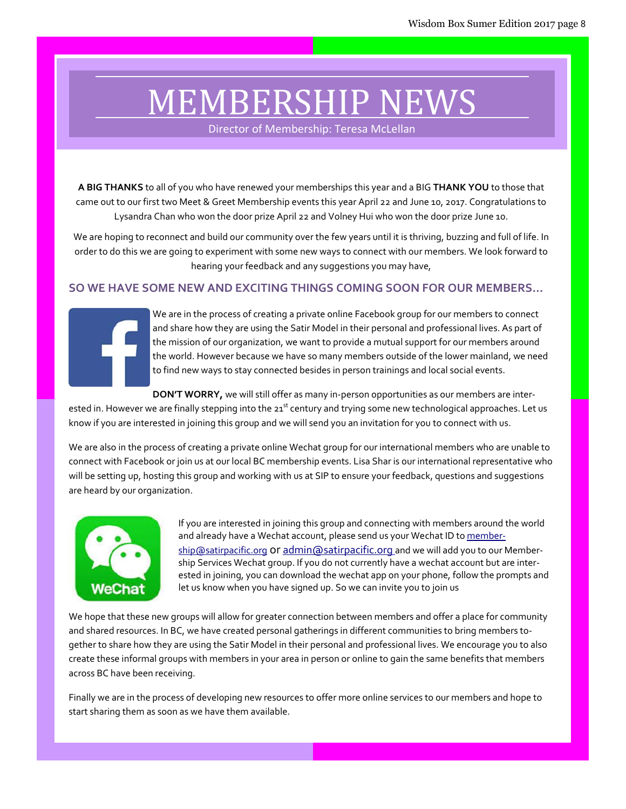# MEMBERSHIP NEWS

Director of Membership: Teresa McLellan

A BIG THANKS to all of you who have renewed your memberships this year and a BIG THANK YOU to those that came out to our first two Meet & Greet Membership events this year April 22 and June 10, 2017. Congratulations to Lysandra Chan who won the door prize April 22 and Volney Hui who won the door prize June 10.

We are hoping to reconnect and build our community over the few years until it is thriving, buzzing and full of life. In order to do this we are going to experiment with some new ways to connect with our members. We look forward to hearing your feedback and any suggestions you may have,

#### SO WE HAVE SOME NEW AND EXCITING THINGS COMING SOON FOR OUR MEMBERS…



We are in the process of creating a private online Facebook group for our members to connect and share how they are using the Satir Model in their personal and professional lives. As part of the mission of our organization, we want to provide a mutual support for our members around the world. However because we have so many members outside of the lower mainland, we need to find new ways to stay connected besides in person trainings and local social events.

DON'T WORRY, we will still offer as many in-person opportunities as our members are inter-

ested in. However we are finally stepping into the 21<sup>st</sup> century and trying some new technological approaches. Let us know if you are interested in joining this group and we will send you an invitation for you to connect with us.

We are also in the process of creating a private online Wechat group for our international members who are unable to connect with Facebook or join us at our local BC membership events. Lisa Shar is our international representative who will be setting up, hosting this group and working with us at SIP to ensure your feedback, questions and suggestions are heard by our organization.



If you are interested in joining this group and connecting with members around the world and already have a Wechat account, please send us your Wechat ID to membership@satirpacific.org or admin@satirpacific.org and we will add you to our Membership Services Wechat group. If you do not currently have a wechat account but are interested in joining, you can download the wechat app on your phone, follow the prompts and let us know when you have signed up. So we can invite you to join us

We hope that these new groups will allow for greater connection between members and offer a place for community and shared resources. In BC, we have created personal gatherings in different communities to bring members together to share how they are using the Satir Model in their personal and professional lives. We encourage you to also create these informal groups with members in your area in person or online to gain the same benefits that members across BC have been receiving.

Finally we are in the process of developing new resources to offer more online services to our members and hope to start sharing them as soon as we have them available.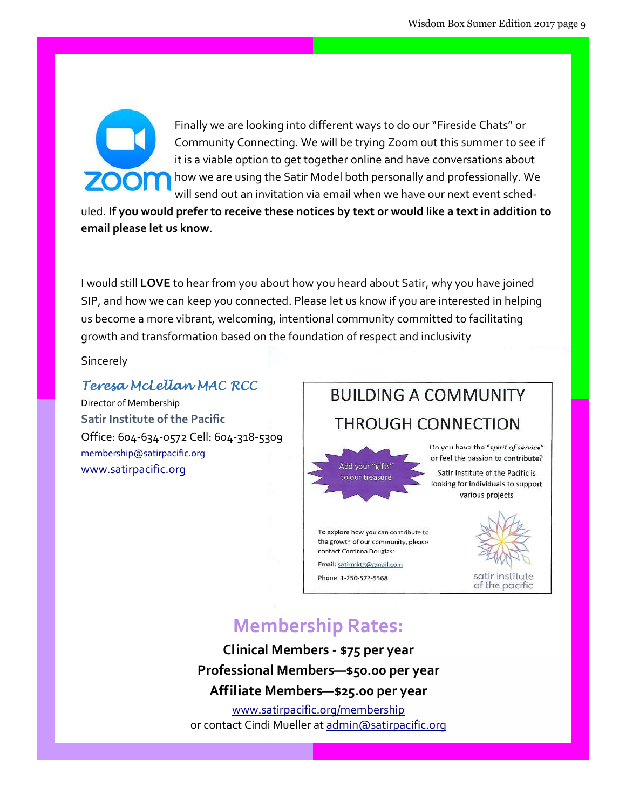

Finally we are looking into different ways to do our "Fireside Chats" or Community Connecting. We will be trying Zoom out this summer to see if it is a viable option to get together online and have conversations about how we are using the Satir Model both personally and professionally. We will send out an invitation via email when we have our next event sched-

uled. If you would prefer to receive these notices by text or would like a text in addition to email please let us know.

I would still LOVE to hear from you about how you heard about Satir, why you have joined SIP, and how we can keep you connected. Please let us know if you are interested in helping us become a more vibrant, welcoming, intentional community committed to facilitating growth and transformation based on the foundation of respect and inclusivity

**Sincerely** 

#### Teresa McLellan MAC RCC

Director of Membership Satir Institute of the Pacific Office: 604-634-0572 Cell: 604-318-5309 membership@satirpacific.org www.satirpacific.org

# **BUILDING A COMMUNITY** THROUGH CONNECTION



To explore how you can contribute to the growth of our community, please contact Corrinna Douglas:

Email: satirmktg@gmail.com

Phone: 1-250-572-5568

Do you have the "spirit of service" or feel the passion to contribute?

Satir Institute of the Pacific is looking for individuals to support various projects



satir institute of the pacific

### Membership Rates:

Clinical Members - \$75 per year Professional Members—\$50.00 per year Affiliate Members—\$25.00 per year

www.satirpacific.org/membership or contact Cindi Mueller at admin@satirpacific.org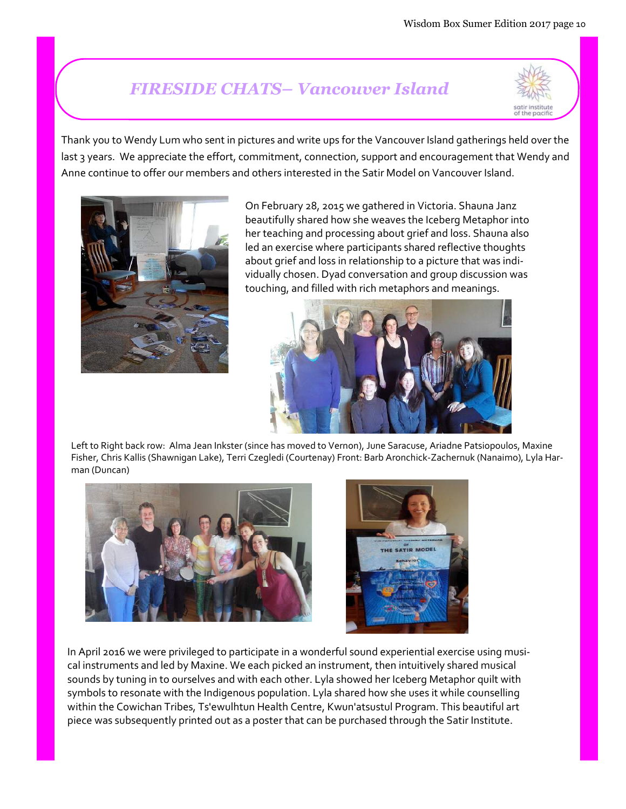## FIRESIDE CHATS– Vancouver Island



Thank you to Wendy Lum who sent in pictures and write ups for the Vancouver Island gatherings held over the last 3 years. We appreciate the effort, commitment, connection, support and encouragement that Wendy and Anne continue to offer our members and others interested in the Satir Model on Vancouver Island.



On February 28, 2015 we gathered in Victoria. Shauna Janz beautifully shared how she weaves the Iceberg Metaphor into her teaching and processing about grief and loss. Shauna also led an exercise where participants shared reflective thoughts about grief and loss in relationship to a picture that was individually chosen. Dyad conversation and group discussion was touching, and filled with rich metaphors and meanings.



Left to Right back row: Alma Jean Inkster (since has moved to Vernon), June Saracuse, Ariadne Patsiopoulos, Maxine Fisher, Chris Kallis (Shawnigan Lake), Terri Czegledi (Courtenay) Front: Barb Aronchick-Zachernuk (Nanaimo), Lyla Harman (Duncan)





In April 2016 we were privileged to participate in a wonderful sound experiential exercise using musical instruments and led by Maxine. We each picked an instrument, then intuitively shared musical sounds by tuning in to ourselves and with each other. Lyla showed her Iceberg Metaphor quilt with symbols to resonate with the Indigenous population. Lyla shared how she uses it while counselling within the Cowichan Tribes, Ts'ewulhtun Health Centre, Kwun'atsustul Program. This beautiful art piece was subsequently printed out as a poster that can be purchased through the Satir Institute.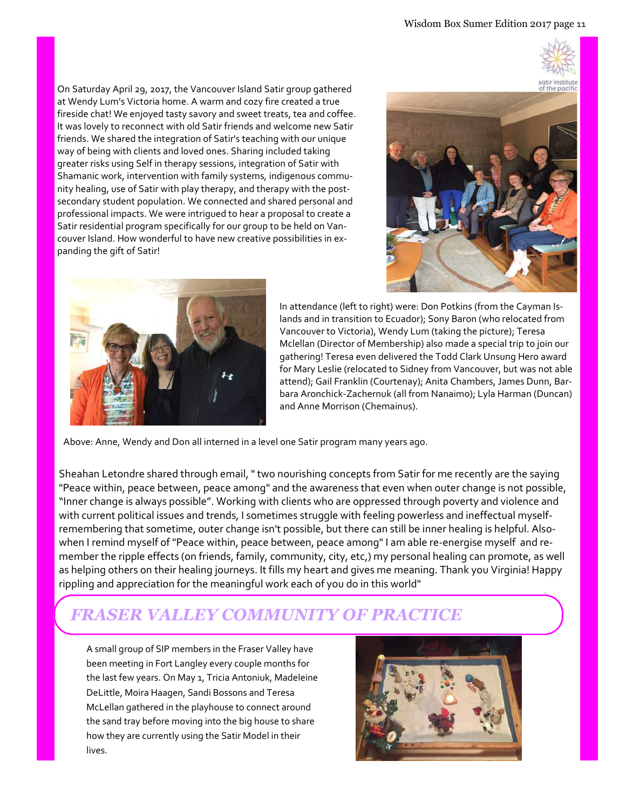On Saturday April 29, 2017, the Vancouver Island Satir group gathered at Wendy Lum's Victoria home. A warm and cozy fire created a true fireside chat! We enjoyed tasty savory and sweet treats, tea and coffee. It was lovely to reconnect with old Satir friends and welcome new Satir friends. We shared the integration of Satir's teaching with our unique way of being with clients and loved ones. Sharing included taking greater risks using Self in therapy sessions, integration of Satir with Shamanic work, intervention with family systems, indigenous community healing, use of Satir with play therapy, and therapy with the postsecondary student population. We connected and shared personal and professional impacts. We were intrigued to hear a proposal to create a Satir residential program specifically for our group to be held on Vancouver Island. How wonderful to have new creative possibilities in expanding the gift of Satir!





In attendance (left to right) were: Don Potkins (from the Cayman Islands and in transition to Ecuador); Sony Baron (who relocated from Vancouver to Victoria), Wendy Lum (taking the picture); Teresa Mclellan (Director of Membership) also made a special trip to join our gathering! Teresa even delivered the Todd Clark Unsung Hero award for Mary Leslie (relocated to Sidney from Vancouver, but was not able attend); Gail Franklin (Courtenay); Anita Chambers, James Dunn, Barbara Aronchick-Zachernuk (all from Nanaimo); Lyla Harman (Duncan) and Anne Morrison (Chemainus).

Above: Anne, Wendy and Don all interned in a level one Satir program many years ago.

Sheahan Letondre shared through email, " two nourishing concepts from Satir for me recently are the saying "Peace within, peace between, peace among" and the awareness that even when outer change is not possible, "Inner change is always possible". Working with clients who are oppressed through poverty and violence and with current political issues and trends, I sometimes struggle with feeling powerless and ineffectual myselfremembering that sometime, outer change isn't possible, but there can still be inner healing is helpful. Alsowhen I remind myself of "Peace within, peace between, peace among" I am able re-energise myself and remember the ripple effects (on friends, family, community, city, etc,) my personal healing can promote, as well as helping others on their healing journeys. It fills my heart and gives me meaning. Thank you Virginia! Happy rippling and appreciation for the meaningful work each of you do in this world"

### FRASER VALLEY COMMUNITY OF PRACTICE

A small group of SIP members in the Fraser Valley have been meeting in Fort Langley every couple months for the last few years. On May 1, Tricia Antoniuk, Madeleine DeLittle, Moira Haagen, Sandi Bossons and Teresa McLellan gathered in the playhouse to connect around the sand tray before moving into the big house to share how they are currently using the Satir Model in their lives.

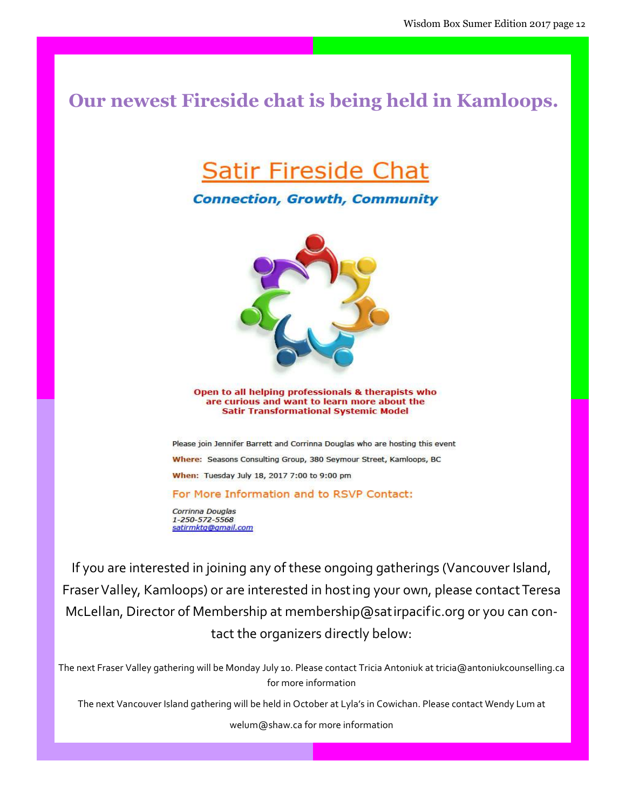### Our newest Fireside chat is being held in Kamloops.

# **Satir Fireside Chat**

#### **Connection, Growth, Community**



Open to all helping professionals & therapists who are curious and want to learn more about the **Satir Transformational Systemic Model** 

Please join Jennifer Barrett and Corrinna Douglas who are hosting this event Where: Seasons Consulting Group, 380 Seymour Street, Kamloops, BC When: Tuesday July 18, 2017 7:00 to 9:00 pm

For More Information and to RSVP Contact:

Corrinna Douglas 1-250-572-5568 satirmktg@gmail.com

If you are interested in joining any of these ongoing gatherings (Vancouver Island, Fraser Valley, Kamloops) or are interested in hosting your own, please contact Teresa McLellan, Director of Membership at membership@satirpacific.org or you can contact the organizers directly below:

The next Fraser Valley gathering will be Monday July 10. Please contact Tricia Antoniuk at tricia@antoniukcounselling.ca for more information

The next Vancouver Island gathering will be held in October at Lyla's in Cowichan. Please contact Wendy Lum at

welum@shaw.ca for more information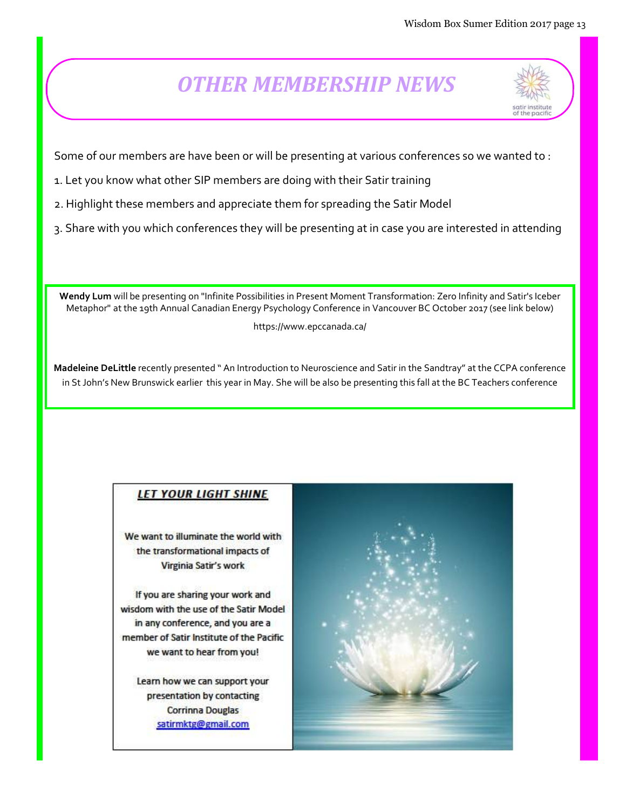# OTHER MEMBERSHIP NEWS



Some of our members are have been or will be presenting at various conferences so we wanted to :

- 1. Let you know what other SIP members are doing with their Satir training
- 2. Highlight these members and appreciate them for spreading the Satir Model
- 3. Share with you which conferences they will be presenting at in case you are interested in attending

Wendy Lum will be presenting on "Infinite Possibilities in Present Moment Transformation: Zero Infinity and Satir's Iceber Metaphor" at the 19th Annual Canadian Energy Psychology Conference in Vancouver BC October 2017 (see link below)

https://www.epccanada.ca/

Madeleine DeLittle recently presented " An Introduction to Neuroscience and Satir in the Sandtray" at the CCPA conference in St John's New Brunswick earlier this year in May. She will be also be presenting this fall at the BC Teachers conference

#### **LET YOUR LIGHT SHINE**

We want to illuminate the world with the transformational impacts of Virginia Satir's work

If you are sharing your work and wisdom with the use of the Satir Model in any conference, and you are a member of Satir Institute of the Pacific we want to hear from you!

Learn how we can support your presentation by contacting **Corrinna Douglas** satirmktg@gmail.com

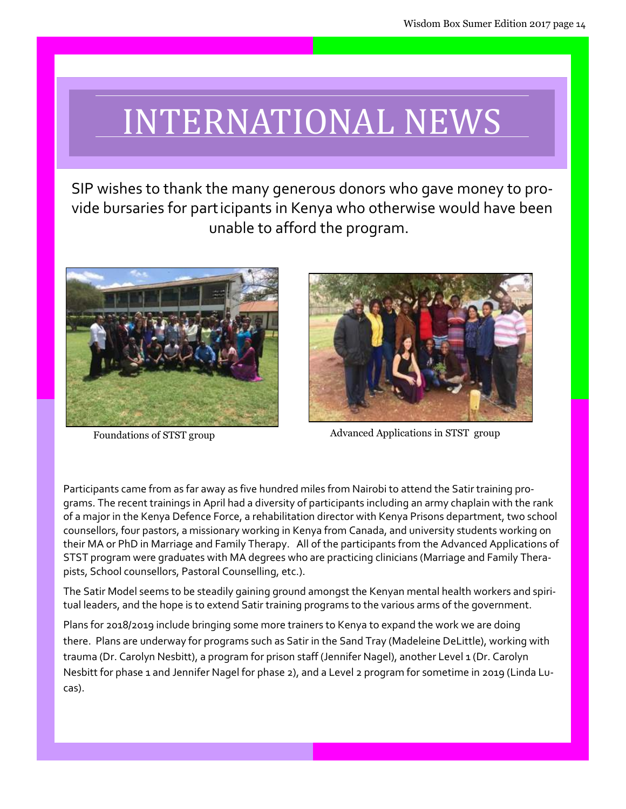# INTERNATIONAL NEWS

SIP wishes to thank the many generous donors who gave money to provide bursaries for participants in Kenya who otherwise would have been unable to afford the program.





Foundations of STST group Advanced Applications in STST group

Participants came from as far away as five hundred miles from Nairobi to attend the Satir training programs. The recent trainings in April had a diversity of participants including an army chaplain with the rank of a major in the Kenya Defence Force, a rehabilitation director with Kenya Prisons department, two school counsellors, four pastors, a missionary working in Kenya from Canada, and university students working on their MA or PhD in Marriage and Family Therapy. All of the participants from the Advanced Applications of STST program were graduates with MA degrees who are practicing clinicians (Marriage and Family Therapists, School counsellors, Pastoral Counselling, etc.).

The Satir Model seems to be steadily gaining ground amongst the Kenyan mental health workers and spiritual leaders, and the hope is to extend Satir training programs to the various arms of the government.

Plans for 2018/2019 include bringing some more trainers to Kenya to expand the work we are doing there. Plans are underway for programs such as Satir in the Sand Tray (Madeleine DeLittle), working with trauma (Dr. Carolyn Nesbitt), a program for prison staff (Jennifer Nagel), another Level 1 (Dr. Carolyn Nesbitt for phase 1 and Jennifer Nagel for phase 2), and a Level 2 program for sometime in 2019 (Linda Lucas).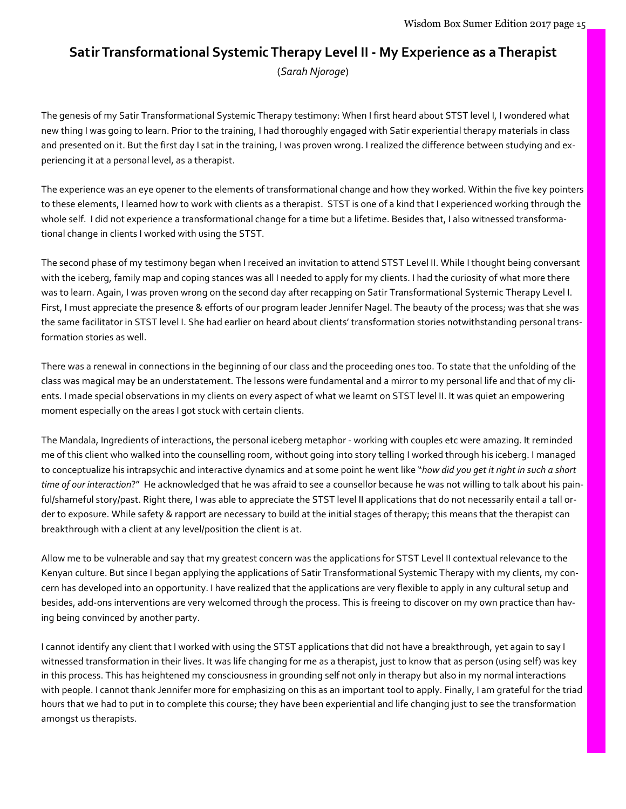# Satir Transformational Systemic Therapy Level II - My Experience as a Therapist

(Sarah Njoroge)

The genesis of my Satir Transformational Systemic Therapy testimony: When I first heard about STST level I, I wondered what new thing I was going to learn. Prior to the training, I had thoroughly engaged with Satir experiential therapy materials in class and presented on it. But the first day I sat in the training, I was proven wrong. I realized the difference between studying and experiencing it at a personal level, as a therapist.

The experience was an eye opener to the elements of transformational change and how they worked. Within the five key pointers to these elements, I learned how to work with clients as a therapist. STST is one of a kind that I experienced working through the whole self. I did not experience a transformational change for a time but a lifetime. Besides that, I also witnessed transformational change in clients I worked with using the STST.

The second phase of my testimony began when I received an invitation to attend STST Level II. While I thought being conversant with the iceberg, family map and coping stances was all I needed to apply for my clients. I had the curiosity of what more there was to learn. Again, I was proven wrong on the second day after recapping on Satir Transformational Systemic Therapy Level I. First, I must appreciate the presence & efforts of our program leader Jennifer Nagel. The beauty of the process; was that she was the same facilitator in STST level I. She had earlier on heard about clients' transformation stories notwithstanding personal transformation stories as well.

There was a renewal in connections in the beginning of our class and the proceeding ones too. To state that the unfolding of the class was magical may be an understatement. The lessons were fundamental and a mirror to my personal life and that of my clients. I made special observations in my clients on every aspect of what we learnt on STST level II. It was quiet an empowering moment especially on the areas I got stuck with certain clients.

The Mandala, Ingredients of interactions, the personal iceberg metaphor - working with couples etc were amazing. It reminded me of this client who walked into the counselling room, without going into story telling I worked through his iceberg. I managed to conceptualize his intrapsychic and interactive dynamics and at some point he went like "how did you get it right in such a short time of our interaction?" He acknowledged that he was afraid to see a counsellor because he was not willing to talk about his painful/shameful story/past. Right there, I was able to appreciate the STST level II applications that do not necessarily entail a tall order to exposure. While safety & rapport are necessary to build at the initial stages of therapy; this means that the therapist can breakthrough with a client at any level/position the client is at.

Allow me to be vulnerable and say that my greatest concern was the applications for STST Level II contextual relevance to the Kenyan culture. But since I began applying the applications of Satir Transformational Systemic Therapy with my clients, my concern has developed into an opportunity. I have realized that the applications are very flexible to apply in any cultural setup and besides, add-ons interventions are very welcomed through the process. This is freeing to discover on my own practice than having being convinced by another party.

I cannot identify any client that I worked with using the STST applications that did not have a breakthrough, yet again to say I witnessed transformation in their lives. It was life changing for me as a therapist, just to know that as person (using self) was key in this process. This has heightened my consciousness in grounding self not only in therapy but also in my normal interactions with people. I cannot thank Jennifer more for emphasizing on this as an important tool to apply. Finally, I am grateful for the triad hours that we had to put in to complete this course; they have been experiential and life changing just to see the transformation amongst us therapists.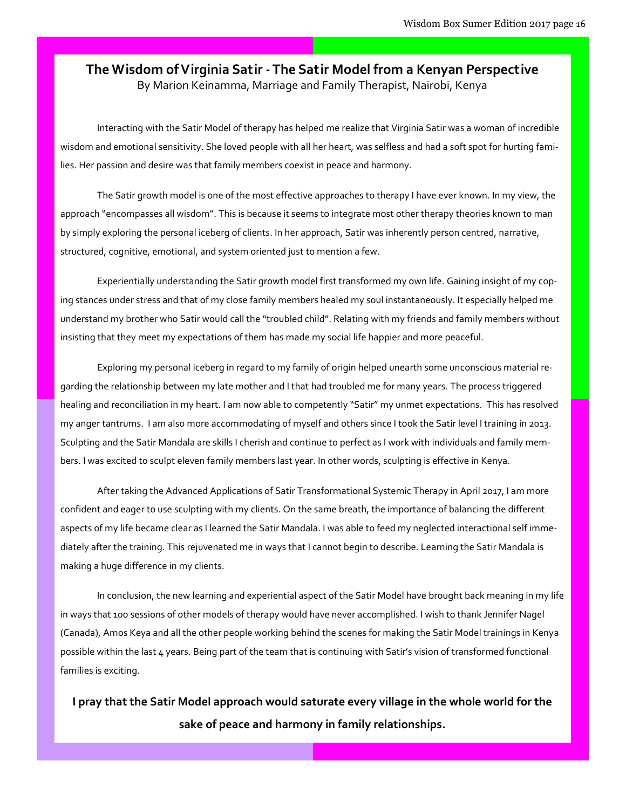#### The Wisdom of Virginia Satir - The Satir Model from a Kenyan Perspective By Marion Keinamma, Marriage and Family Therapist, Nairobi, Kenya

Interacting with the Satir Model of therapy has helped me realize that Virginia Satir was a woman of incredible wisdom and emotional sensitivity. She loved people with all her heart, was selfless and had a soft spot for hurting families. Her passion and desire was that family members coexist in peace and harmony.

The Satir growth model is one of the most effective approaches to therapy I have ever known. In my view, the approach "encompasses all wisdom". This is because it seems to integrate most other therapy theories known to man by simply exploring the personal iceberg of clients. In her approach, Satir was inherently person centred, narrative, structured, cognitive, emotional, and system oriented just to mention a few.

Experientially understanding the Satir growth model first transformed my own life. Gaining insight of my coping stances under stress and that of my close family members healed my soul instantaneously. It especially helped me understand my brother who Satir would call the "troubled child". Relating with my friends and family members without insisting that they meet my expectations of them has made my social life happier and more peaceful.

 Exploring my personal iceberg in regard to my family of origin helped unearth some unconscious material regarding the relationship between my late mother and I that had troubled me for many years. The process triggered healing and reconciliation in my heart. I am now able to competently "Satir" my unmet expectations. This has resolved my anger tantrums. I am also more accommodating of myself and others since I took the Satir level I training in 2013. Sculpting and the Satir Mandala are skills I cherish and continue to perfect as I work with individuals and family members. I was excited to sculpt eleven family members last year. In other words, sculpting is effective in Kenya.

After taking the Advanced Applications of Satir Transformational Systemic Therapy in April 2017, I am more confident and eager to use sculpting with my clients. On the same breath, the importance of balancing the different aspects of my life became clear as I learned the Satir Mandala. I was able to feed my neglected interactional self immediately after the training. This rejuvenated me in ways that I cannot begin to describe. Learning the Satir Mandala is making a huge difference in my clients.

In conclusion, the new learning and experiential aspect of the Satir Model have brought back meaning in my life in ways that 100 sessions of other models of therapy would have never accomplished. I wish to thank Jennifer Nagel (Canada), Amos Keya and all the other people working behind the scenes for making the Satir Model trainings in Kenya possible within the last 4 years. Being part of the team that is continuing with Satir's vision of transformed functional families is exciting.

I pray that the Satir Model approach would saturate every village in the whole world for the sake of peace and harmony in family relationships.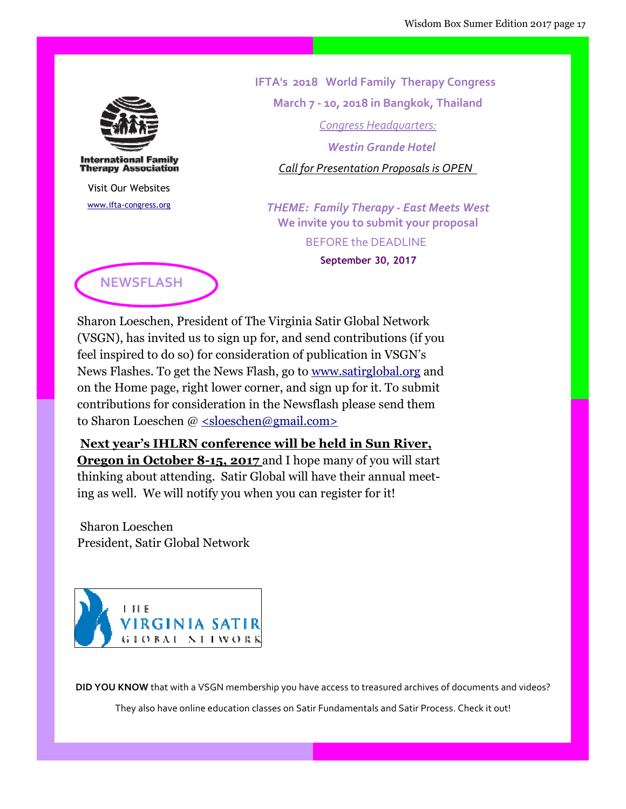

**International Family Therapy Association** 

Visit Our Websites www.ifta-congress.org  IFTA's 2018 World Family Therapy Congress March 7 - 10, 2018 in Bangkok, Thailand Congress Headquarters: Westin Grande Hotel Call for Presentation Proposals is OPEN

THEME: Family Therapy - East Meets West We invite you to submit your proposal BEFORE the DEADLINE September 30, 2017



Sharon Loeschen, President of The Virginia Satir Global Network (VSGN), has invited us to sign up for, and send contributions (if you feel inspired to do so) for consideration of publication in VSGN's News Flashes. To get the News Flash, go to www.satirglobal.org and on the Home page, right lower corner, and sign up for it. To submit contributions for consideration in the Newsflash please send them to Sharon Loeschen @ <sloeschen@gmail.com>

Next year's IHLRN conference will be held in Sun River, **Oregon in October 8-15, 2017** and I hope many of you will start thinking about attending. Satir Global will have their annual meeting as well. We will notify you when you can register for it!

 Sharon Loeschen President, Satir Global Network



DID YOU KNOW that with a VSGN membership you have access to treasured archives of documents and videos?

They also have online education classes on Satir Fundamentals and Satir Process. Check it out!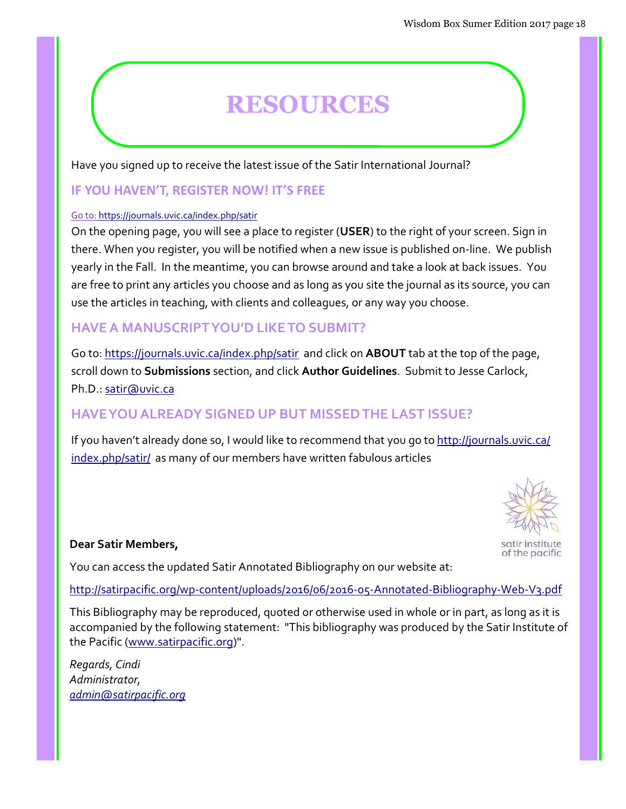# **RESOURCES**

Have you signed up to receive the latest issue of the Satir International Journal?

#### IF YOU HAVEN'T, REGISTER NOW! IT'S FREE

#### Go to: https://journals.uvic.ca/index.php/satir

On the opening page, you will see a place to register (USER) to the right of your screen. Sign in there. When you register, you will be notified when a new issue is published on-line. We publish yearly in the Fall. In the meantime, you can browse around and take a look at back issues. You are free to print any articles you choose and as long as you site the journal as its source, you can use the articles in teaching, with clients and colleagues, or any way you choose.

#### HAVE A MANUSCRIPT YOU'D LIKE TO SUBMIT?

Go to: https://journals.uvic.ca/index.php/satir and click on **ABOUT** tab at the top of the page, scroll down to Submissions section, and click Author Guidelines. Submit to Jesse Carlock, Ph.D.: satir@uvic.ca

#### HAVE YOU ALREADY SIGNED UP BUT MISSED THE LAST ISSUE?

If you haven't already done so, I would like to recommend that you go to http://journals.uvic.ca/ index.php/satir/ as many of our members have written fabulous articles

#### Dear Satir Members,

You can access the updated Satir Annotated Bibliography on our website at:

#### http://satirpacific.org/wp-content/uploads/2016/06/2016-05-Annotated-Bibliography-Web-V3.pdf

This Bibliography may be reproduced, quoted or otherwise used in whole or in part, as long as it is accompanied by the following statement: "This bibliography was produced by the Satir Institute of the Pacific (www.satirpacific.org)".

Regards, Cindi Administrator, admin@satirpacific.org



of the pacific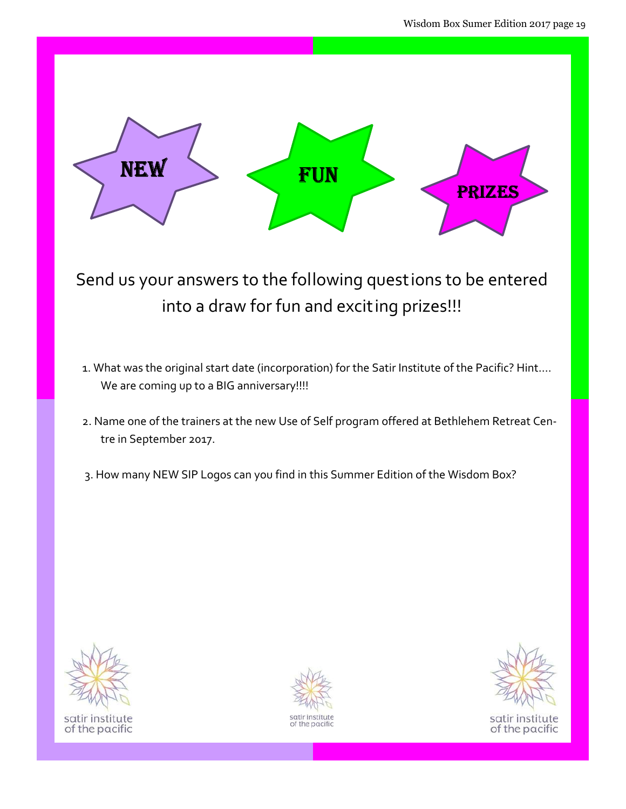

Send us your answers to the following questions to be entered into a draw for fun and exciting prizes!!!

- 1. What was the original start date (incorporation) for the Satir Institute of the Pacific? Hint…. We are coming up to a BIG anniversary!!!!
- 2. Name one of the trainers at the new Use of Self program offered at Bethlehem Retreat Centre in September 2017.
- 3. How many NEW SIP Logos can you find in this Summer Edition of the Wisdom Box?



satir institute of the pacific



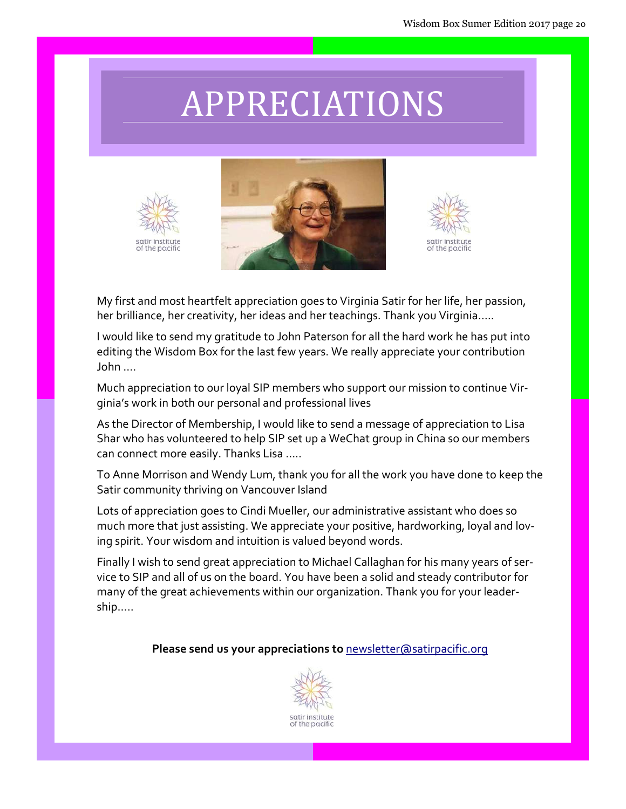# APPRECIATIONS







My first and most heartfelt appreciation goes to Virginia Satir for her life, her passion, her brilliance, her creativity, her ideas and her teachings. Thank you Virginia…..

I would like to send my gratitude to John Paterson for all the hard work he has put into editing the Wisdom Box for the last few years. We really appreciate your contribution John ….

Much appreciation to our loyal SIP members who support our mission to continue Virginia's work in both our personal and professional lives

As the Director of Membership, I would like to send a message of appreciation to Lisa Shar who has volunteered to help SIP set up a WeChat group in China so our members can connect more easily. Thanks Lisa …..

To Anne Morrison and Wendy Lum, thank you for all the work you have done to keep the Satir community thriving on Vancouver Island

Lots of appreciation goes to Cindi Mueller, our administrative assistant who does so much more that just assisting. We appreciate your positive, hardworking, loyal and loving spirit. Your wisdom and intuition is valued beyond words.

Finally I wish to send great appreciation to Michael Callaghan for his many years of service to SIP and all of us on the board. You have been a solid and steady contributor for many of the great achievements within our organization. Thank you for your leadership…..

Please send us your appreciations to newsletter@satirpacific.org

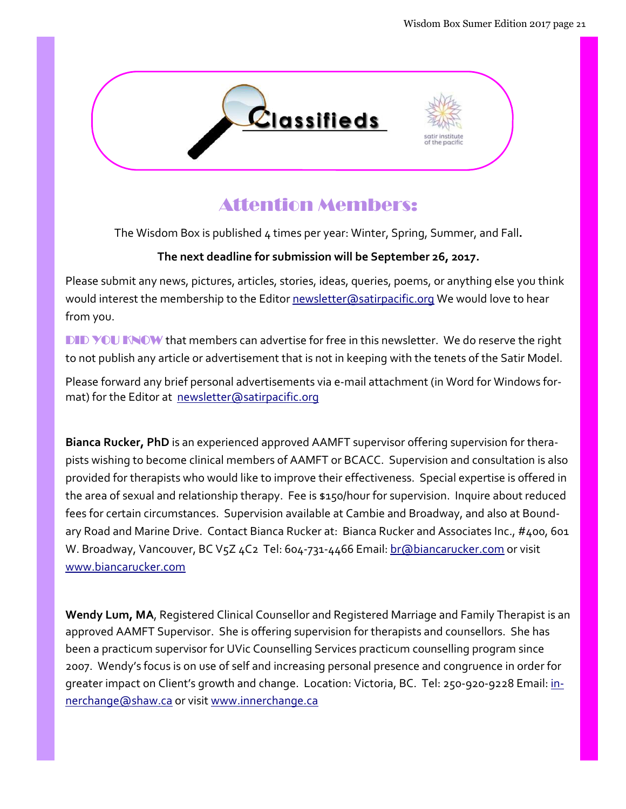

## Attention Members:

The Wisdom Box is published 4 times per year: Winter, Spring, Summer, and Fall.

#### The next deadline for submission will be September 26, 2017.

Please submit any news, pictures, articles, stories, ideas, queries, poems, or anything else you think would interest the membership to the Editor newsletter@satirpacific.org We would love to hear from you.

DID YOU KNOW that members can advertise for free in this newsletter. We do reserve the right to not publish any article or advertisement that is not in keeping with the tenets of the Satir Model.

Please forward any brief personal advertisements via e-mail attachment (in Word for Windows format) for the Editor at newsletter@satirpacific.org

Bianca Rucker, PhD is an experienced approved AAMFT supervisor offering supervision for therapists wishing to become clinical members of AAMFT or BCACC. Supervision and consultation is also provided for therapists who would like to improve their effectiveness. Special expertise is offered in the area of sexual and relationship therapy. Fee is \$150/hour for supervision. Inquire about reduced fees for certain circumstances. Supervision available at Cambie and Broadway, and also at Boundary Road and Marine Drive. Contact Bianca Rucker at: Bianca Rucker and Associates Inc., #400, 601 W. Broadway, Vancouver, BC V5Z 4C2 Tel: 604-731-4466 Email: br@biancarucker.com or visit www.biancarucker.com

Wendy Lum, MA, Registered Clinical Counsellor and Registered Marriage and Family Therapist is an approved AAMFT Supervisor. She is offering supervision for therapists and counsellors. She has been a practicum supervisor for UVic Counselling Services practicum counselling program since 2007. Wendy's focus is on use of self and increasing personal presence and congruence in order for greater impact on Client's growth and change. Location: Victoria, BC. Tel: 250-920-9228 Email: innerchange@shaw.ca or visit www.innerchange.ca